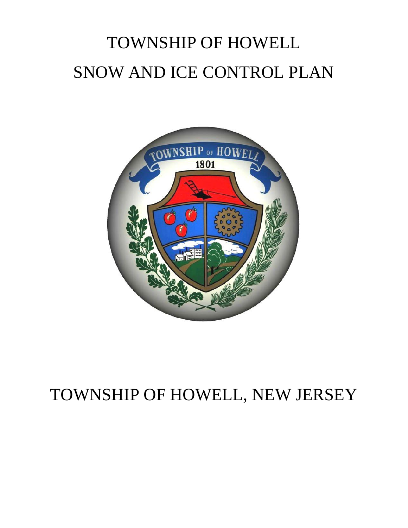# TOWNSHIP OF HOWELL SNOW AND ICE CONTROL PLAN



# TOWNSHIP OF HOWELL, NEW JERSEY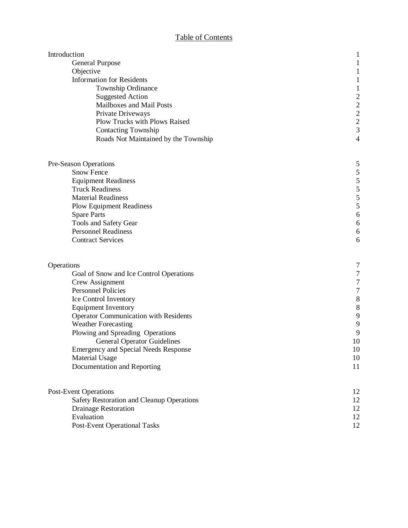#### Table of Contents

| Introduction                                 | $\mathbf{1}$                               |
|----------------------------------------------|--------------------------------------------|
| <b>General Purpose</b>                       |                                            |
| Objective                                    |                                            |
| <b>Information for Residents</b>             |                                            |
| Township Ordinance                           |                                            |
| <b>Suggested Action</b>                      | $\overline{\mathbf{c}}$                    |
| Mailboxes and Mail Posts                     | $\frac{2}{2}$                              |
| Private Driveways                            |                                            |
| <b>Plow Trucks with Plows Raised</b>         | $\overline{c}$                             |
| <b>Contacting Township</b>                   | 3                                          |
| Roads Not Maintained by the Township         | $\overline{4}$                             |
| Pre-Season Operations                        | 5                                          |
| <b>Snow Fence</b>                            |                                            |
| <b>Equipment Readiness</b>                   | $\begin{array}{c} 5 \\ 5 \\ 5 \end{array}$ |
| <b>Truck Readiness</b>                       |                                            |
| <b>Material Readiness</b>                    | 5                                          |
| <b>Plow Equipment Readiness</b>              | 5                                          |
| <b>Spare Parts</b>                           | 6                                          |
| Tools and Safety Gear                        | 6                                          |
| <b>Personnel Readiness</b>                   | 6                                          |
| <b>Contract Services</b>                     | 6                                          |
| Operations                                   | 7                                          |
| Goal of Snow and Ice Control Operations      | $\overline{7}$                             |
| Crew Assignment                              | 7                                          |
| <b>Personnel Policies</b>                    | $\overline{7}$                             |
| Ice Control Inventory                        | 8                                          |
| <b>Equipment Inventory</b>                   | 8                                          |
| <b>Operator Communication with Residents</b> | 9                                          |
| <b>Weather Forecasting</b>                   | 9                                          |
| Plowing and Spreading Operations             | 9                                          |
| <b>General Operator Guidelines</b>           | 10                                         |
| <b>Emergency and Special Needs Response</b>  | 10                                         |
| <b>Material Usage</b>                        | 10                                         |
| Documentation and Reporting                  | 11                                         |
|                                              |                                            |
| <b>Post-Event Operations</b>                 | 12                                         |
| Safety Restoration and Cleanup Operations    | 12                                         |
| <b>Drainage Restoration</b>                  | 12                                         |
| Evaluation                                   | 12                                         |
| <b>Post-Event Operational Tasks</b>          | 12                                         |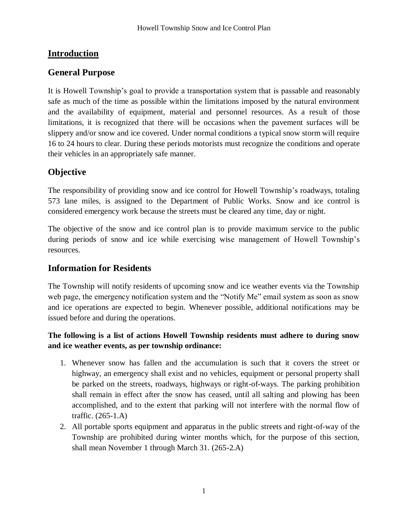# **Introduction**

#### **General Purpose**

It is Howell Township's goal to provide a transportation system that is passable and reasonably safe as much of the time as possible within the limitations imposed by the natural environment and the availability of equipment, material and personnel resources. As a result of those limitations, it is recognized that there will be occasions when the pavement surfaces will be slippery and/or snow and ice covered. Under normal conditions a typical snow storm will require 16 to 24 hours to clear. During these periods motorists must recognize the conditions and operate their vehicles in an appropriately safe manner.

# **Objective**

The responsibility of providing snow and ice control for Howell Township's roadways, totaling 573 lane miles, is assigned to the Department of Public Works. Snow and ice control is considered emergency work because the streets must be cleared any time, day or night.

The objective of the snow and ice control plan is to provide maximum service to the public during periods of snow and ice while exercising wise management of Howell Township's resources.

#### **Information for Residents**

The Township will notify residents of upcoming snow and ice weather events via the Township web page, the emergency notification system and the "Notify Me" email system as soon as snow and ice operations are expected to begin. Whenever possible, additional notifications may be issued before and during the operations.

#### **The following is a list of actions Howell Township residents must adhere to during snow and ice weather events, as per township ordinance:**

- 1. Whenever snow has fallen and the accumulation is such that it covers the street or highway, an emergency shall exist and no vehicles, equipment or personal property shall be parked on the streets, roadways, highways or right-of-ways. The parking prohibition shall remain in effect after the snow has ceased, until all salting and plowing has been accomplished, and to the extent that parking will not interfere with the normal flow of traffic. (265-1.A)
- 2. All portable sports equipment and apparatus in the public streets and right-of-way of the Township are prohibited during winter months which, for the purpose of this section, shall mean November 1 through March 31. (265-2.A)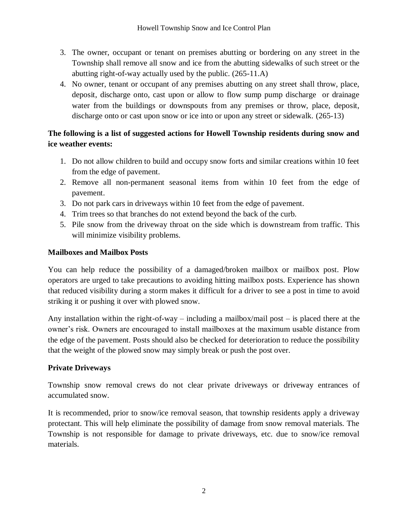- 3. The owner, occupant or tenant on premises abutting or bordering on any street in the Township shall remove all snow and ice from the abutting sidewalks of such street or the abutting right-of-way actually used by the public. (265-11.A)
- 4. No owner, tenant or occupant of any premises abutting on any street shall throw, place, deposit, discharge onto, cast upon or allow to flow sump pump discharge or drainage water from the buildings or downspouts from any premises or throw, place, deposit, discharge onto or cast upon snow or ice into or upon any street or sidewalk. (265-13)

#### **The following is a list of suggested actions for Howell Township residents during snow and ice weather events:**

- 1. Do not allow children to build and occupy snow forts and similar creations within 10 feet from the edge of pavement.
- 2. Remove all non-permanent seasonal items from within 10 feet from the edge of pavement.
- 3. Do not park cars in driveways within 10 feet from the edge of pavement.
- 4. Trim trees so that branches do not extend beyond the back of the curb.
- 5. Pile snow from the driveway throat on the side which is downstream from traffic. This will minimize visibility problems.

#### **Mailboxes and Mailbox Posts**

You can help reduce the possibility of a damaged/broken mailbox or mailbox post. Plow operators are urged to take precautions to avoiding hitting mailbox posts. Experience has shown that reduced visibility during a storm makes it difficult for a driver to see a post in time to avoid striking it or pushing it over with plowed snow.

Any installation within the right-of-way – including a mailbox/mail post – is placed there at the owner's risk. Owners are encouraged to install mailboxes at the maximum usable distance from the edge of the pavement. Posts should also be checked for deterioration to reduce the possibility that the weight of the plowed snow may simply break or push the post over.

#### **Private Driveways**

Township snow removal crews do not clear private driveways or driveway entrances of accumulated snow.

It is recommended, prior to snow/ice removal season, that township residents apply a driveway protectant. This will help eliminate the possibility of damage from snow removal materials. The Township is not responsible for damage to private driveways, etc. due to snow/ice removal materials.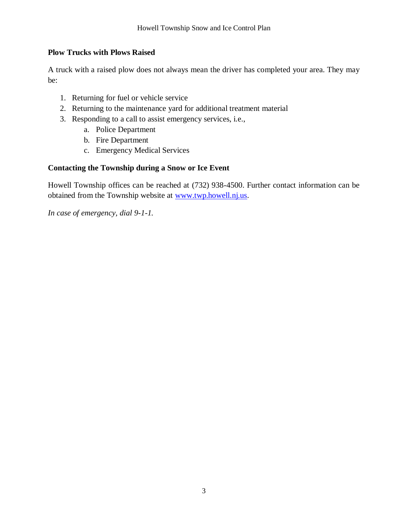#### **Plow Trucks with Plows Raised**

A truck with a raised plow does not always mean the driver has completed your area. They may be:

- 1. Returning for fuel or vehicle service
- 2. Returning to the maintenance yard for additional treatment material
- 3. Responding to a call to assist emergency services, i.e.,
	- a. Police Department
	- b. Fire Department
	- c. Emergency Medical Services

#### **Contacting the Township during a Snow or Ice Event**

Howell Township offices can be reached at (732) 938-4500. Further contact information can be obtained from the Township website at [www.twp.howell.nj.us.](http://www.twp.howell.nj.us/)

*In case of emergency, dial 9-1-1.*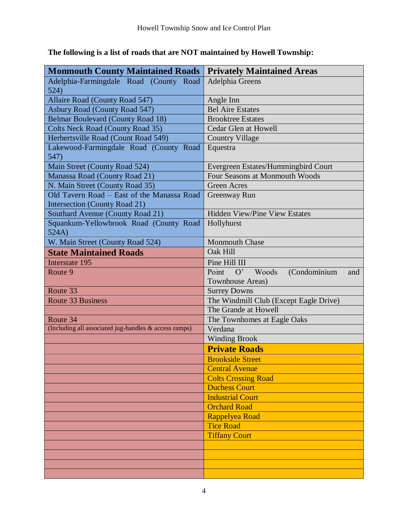| <b>Monmouth County Maintained Roads</b>               | <b>Privately Maintained Areas</b>        |  |  |
|-------------------------------------------------------|------------------------------------------|--|--|
| Adelphia-Farmingdale Road (County Road                | Adelphia Greens                          |  |  |
| 524)                                                  |                                          |  |  |
| Allaire Road (County Road 547)                        | Angle Inn                                |  |  |
| Asbury Road (County Road 547)                         | <b>Bel Aire Estates</b>                  |  |  |
| <b>Belmar Boulevard (County Road 18)</b>              | <b>Brooktree Estates</b>                 |  |  |
| Colts Neck Road (County Road 35)                      | Cedar Glen at Howell                     |  |  |
| Herbertsville Road (Count Road 549)                   | <b>Country Village</b>                   |  |  |
| Lakewood-Farmingdale Road (County Road                | Equestra                                 |  |  |
| 547)                                                  |                                          |  |  |
| Main Street (County Road 524)                         | Evergreen Estates/Hummingbird Court      |  |  |
| Manassa Road (County Road 21)                         | Four Seasons at Monmouth Woods           |  |  |
| N. Main Street (County Road 35)                       | <b>Green Acres</b>                       |  |  |
| Old Tavern Road – East of the Manassa Road            | Greenway Run                             |  |  |
| <b>Intersection (County Road 21)</b>                  |                                          |  |  |
| Southard Avenue (County Road 21)                      | Hidden View/Pine View Estates            |  |  |
| Squankum-Yellowbrook Road (County Road                | Hollyhurst                               |  |  |
| 524A)                                                 |                                          |  |  |
| W. Main Street (County Road 524)                      | <b>Monmouth Chase</b>                    |  |  |
| <b>State Maintained Roads</b>                         | Oak Hill                                 |  |  |
| Interstate 195                                        | Pine Hill III                            |  |  |
| Route 9                                               | Point<br>O' Woods<br>(Condominium<br>and |  |  |
|                                                       | <b>Townhouse Areas</b> )                 |  |  |
| Route 33                                              | <b>Surrey Downs</b>                      |  |  |
| <b>Route 33 Business</b>                              | The Windmill Club (Except Eagle Drive)   |  |  |
|                                                       | The Grande at Howell                     |  |  |
| Route 34                                              | The Townhomes at Eagle Oaks              |  |  |
| (Including all associated jug-handles & access ramps) | Verdana                                  |  |  |
|                                                       | <b>Winding Brook</b>                     |  |  |
|                                                       | <b>Private Roads</b>                     |  |  |
|                                                       | <b>Brookside Street</b>                  |  |  |
|                                                       | <b>Central Avenue</b>                    |  |  |
|                                                       | <b>Colts Crossing Road</b>               |  |  |
|                                                       | <b>Duchess Court</b>                     |  |  |
|                                                       | <b>Industrial Court</b>                  |  |  |
|                                                       | <b>Orchard Road</b>                      |  |  |
|                                                       | Rappelyea Road                           |  |  |
|                                                       | <b>Tice Road</b>                         |  |  |
|                                                       | <b>Tiffany Court</b>                     |  |  |
|                                                       |                                          |  |  |
|                                                       |                                          |  |  |
|                                                       |                                          |  |  |
|                                                       |                                          |  |  |

# **The following is a list of roads that are NOT maintained by Howell Township:**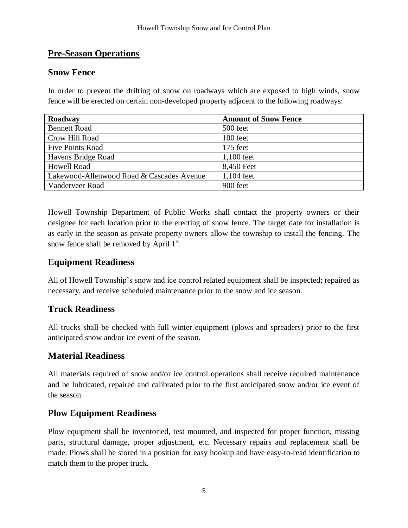#### **Pre-Season Operations**

#### **Snow Fence**

In order to prevent the drifting of snow on roadways which are exposed to high winds, snow fence will be erected on certain non-developed property adjacent to the following roadways:

| Roadway                                   | <b>Amount of Snow Fence</b> |
|-------------------------------------------|-----------------------------|
| <b>Bennett Road</b>                       | 500 feet                    |
| Crow Hill Road                            | 100 feet                    |
| <b>Five Points Road</b>                   | 175 feet                    |
| Havens Bridge Road                        | $1,100$ feet                |
| <b>Howell Road</b>                        | 8,450 Feet                  |
| Lakewood-Allenwood Road & Cascades Avenue | $1,104$ feet                |
| Vanderveer Road                           | 900 feet                    |

Howell Township Department of Public Works shall contact the property owners or their designee for each location prior to the erecting of snow fence. The target date for installation is as early in the season as private property owners allow the township to install the fencing. The snow fence shall be removed by April  $1<sup>st</sup>$ .

#### **Equipment Readiness**

All of Howell Township's snow and ice control related equipment shall be inspected; repaired as necessary, and receive scheduled maintenance prior to the snow and ice season.

#### **Truck Readiness**

All trucks shall be checked with full winter equipment (plows and spreaders) prior to the first anticipated snow and/or ice event of the season.

#### **Material Readiness**

All materials required of snow and/or ice control operations shall receive required maintenance and be lubricated, repaired and calibrated prior to the first anticipated snow and/or ice event of the season.

#### **Plow Equipment Readiness**

Plow equipment shall be inventoried, test mounted, and inspected for proper function, missing parts, structural damage, proper adjustment, etc. Necessary repairs and replacement shall be made. Plows shall be stored in a position for easy hookup and have easy-to-read identification to match them to the proper truck.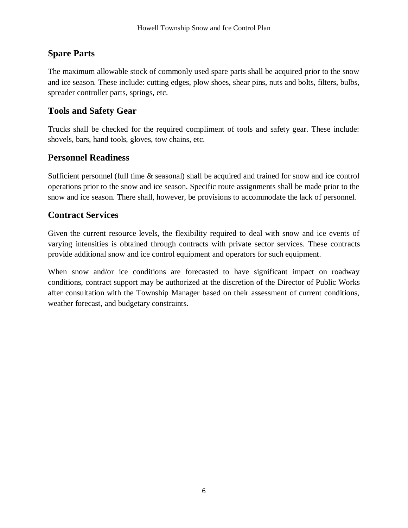#### **Spare Parts**

The maximum allowable stock of commonly used spare parts shall be acquired prior to the snow and ice season. These include: cutting edges, plow shoes, shear pins, nuts and bolts, filters, bulbs, spreader controller parts, springs, etc.

#### **Tools and Safety Gear**

Trucks shall be checked for the required compliment of tools and safety gear. These include: shovels, bars, hand tools, gloves, tow chains, etc.

#### **Personnel Readiness**

Sufficient personnel (full time & seasonal) shall be acquired and trained for snow and ice control operations prior to the snow and ice season. Specific route assignments shall be made prior to the snow and ice season. There shall, however, be provisions to accommodate the lack of personnel.

#### **Contract Services**

Given the current resource levels, the flexibility required to deal with snow and ice events of varying intensities is obtained through contracts with private sector services. These contracts provide additional snow and ice control equipment and operators for such equipment.

When snow and/or ice conditions are forecasted to have significant impact on roadway conditions, contract support may be authorized at the discretion of the Director of Public Works after consultation with the Township Manager based on their assessment of current conditions, weather forecast, and budgetary constraints.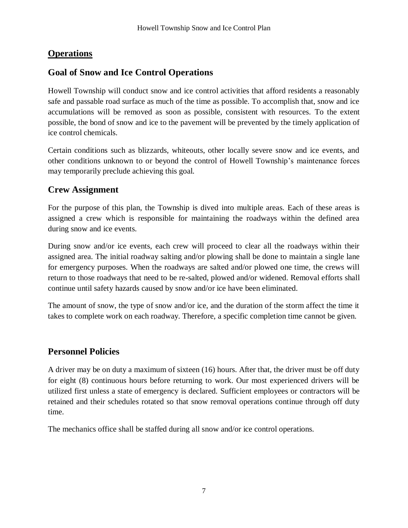# **Operations**

# **Goal of Snow and Ice Control Operations**

Howell Township will conduct snow and ice control activities that afford residents a reasonably safe and passable road surface as much of the time as possible. To accomplish that, snow and ice accumulations will be removed as soon as possible, consistent with resources. To the extent possible, the bond of snow and ice to the pavement will be prevented by the timely application of ice control chemicals.

Certain conditions such as blizzards, whiteouts, other locally severe snow and ice events, and other conditions unknown to or beyond the control of Howell Township's maintenance forces may temporarily preclude achieving this goal.

#### **Crew Assignment**

For the purpose of this plan, the Township is dived into multiple areas. Each of these areas is assigned a crew which is responsible for maintaining the roadways within the defined area during snow and ice events.

During snow and/or ice events, each crew will proceed to clear all the roadways within their assigned area. The initial roadway salting and/or plowing shall be done to maintain a single lane for emergency purposes. When the roadways are salted and/or plowed one time, the crews will return to those roadways that need to be re-salted, plowed and/or widened. Removal efforts shall continue until safety hazards caused by snow and/or ice have been eliminated.

The amount of snow, the type of snow and/or ice, and the duration of the storm affect the time it takes to complete work on each roadway. Therefore, a specific completion time cannot be given.

# **Personnel Policies**

A driver may be on duty a maximum of sixteen (16) hours. After that, the driver must be off duty for eight (8) continuous hours before returning to work. Our most experienced drivers will be utilized first unless a state of emergency is declared. Sufficient employees or contractors will be retained and their schedules rotated so that snow removal operations continue through off duty time.

The mechanics office shall be staffed during all snow and/or ice control operations.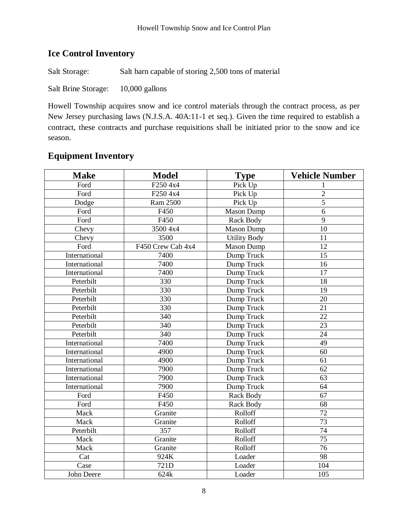# **Ice Control Inventory**

Salt Storage: Salt barn capable of storing 2,500 tons of material

Salt Brine Storage: 10,000 gallons

Howell Township acquires snow and ice control materials through the contract process, as per New Jersey purchasing laws (N.J.S.A. 40A:11-1 et seq.). Given the time required to establish a contract, these contracts and purchase requisitions shall be initiated prior to the snow and ice season.

| <b>Make</b>       | <b>Model</b>      | <b>Type</b>         | <b>Vehicle Number</b> |
|-------------------|-------------------|---------------------|-----------------------|
| Ford              | F250 4x4          | Pick Up             |                       |
| Ford              | F250 4x4          | Pick Up             | $\overline{2}$        |
| Dodge             | Ram 2500          | Pick Up             | $\overline{5}$        |
| Ford              | F450              | <b>Mason Dump</b>   | 6                     |
| Ford              | F450              | <b>Rack Body</b>    | $\overline{9}$        |
| Chevy             | 3500 4x4          | <b>Mason Dump</b>   | 10                    |
| Chevy             | 3500              | <b>Utility Body</b> | 11                    |
| Ford              | F450 Crew Cab 4x4 | <b>Mason Dump</b>   | 12                    |
| International     | 7400              | Dump Truck          | 15                    |
| International     | 7400              | Dump Truck          | 16                    |
| International     | 7400              | Dump Truck          | $\overline{17}$       |
| Peterbilt         | 330               | Dump Truck          | 18                    |
| Peterbilt         | 330               | Dump Truck          | 19                    |
| Peterbilt         | 330               | Dump Truck          | 20                    |
| Peterbilt         | 330               | Dump Truck          | $\overline{21}$       |
| Peterbilt         | 340               | Dump Truck          | 22                    |
| Peterbilt         | 340               | Dump Truck          | 23                    |
| Peterbilt         | 340               | Dump Truck          | 24                    |
| International     | 7400              | Dump Truck          | 49                    |
| International     | 4900              | Dump Truck          | 60                    |
| International     | 4900              | Dump Truck          | 61                    |
| International     | 7900              | Dump Truck          | 62                    |
| International     | 7900              | Dump Truck          | 63                    |
| International     | 7900              | Dump Truck          | 64                    |
| Ford              | F450              | Rack Body           | $\overline{67}$       |
| Ford              | F450              | <b>Rack Body</b>    | 68                    |
| Mack              | Granite           | Rolloff             | 72                    |
| Mack              | Granite           | Rolloff             | $\overline{73}$       |
| Peterbilt         | 357               | Rolloff             | 74                    |
| Mack              | Granite           | Rolloff             | 75                    |
| Mack              | Granite           | Rolloff             | $\overline{76}$       |
| Cat               | $\overline{924K}$ | Loader              | $\overline{98}$       |
| Case              | 721D              | Loader              | 104                   |
| <b>John Deere</b> | 624k              | Loader              | 105                   |

# **Equipment Inventory**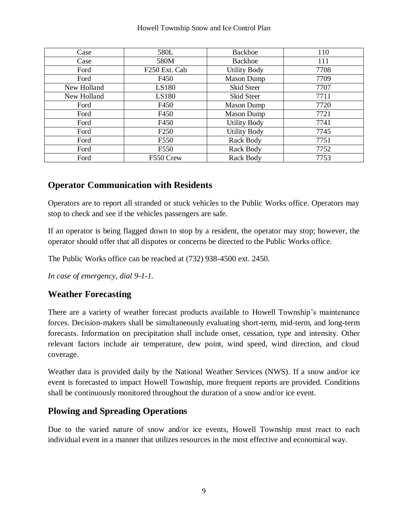#### Howell Township Snow and Ice Control Plan

| Case        | 580L             | <b>Backhoe</b>      | 110  |
|-------------|------------------|---------------------|------|
| Case        | 580M             | <b>Backhoe</b>      | 111  |
| Ford        | F250 Ext. Cab    | <b>Utility Body</b> | 7708 |
| Ford        | F450             | <b>Mason Dump</b>   | 7709 |
| New Holland | LS180            | Skid Steer          | 7707 |
| New Holland | LS180            | Skid Steer          | 7711 |
| Ford        | F450             | <b>Mason Dump</b>   | 7720 |
| Ford        | F450             | <b>Mason Dump</b>   | 7721 |
| Ford        | F450             | <b>Utility Body</b> | 7741 |
| Ford        | F <sub>250</sub> | <b>Utility Body</b> | 7745 |
| Ford        | F550             | Rack Body           | 7751 |
| Ford        | F550             | Rack Body           | 7752 |
| Ford        | F550 Crew        | Rack Body           | 7753 |

#### **Operator Communication with Residents**

Operators are to report all stranded or stuck vehicles to the Public Works office. Operators may stop to check and see if the vehicles passengers are safe.

If an operator is being flagged down to stop by a resident, the operator may stop; however, the operator should offer that all disputes or concerns be directed to the Public Works office.

The Public Works office can be reached at (732) 938-4500 ext. 2450.

*In case of emergency, dial 9-1-1.*

#### **Weather Forecasting**

There are a variety of weather forecast products available to Howell Township's maintenance forces. Decision-makers shall be simultaneously evaluating short-term, mid-term, and long-term forecasts. Information on precipitation shall include onset, cessation, type and intensity. Other relevant factors include air temperature, dew point, wind speed, wind direction, and cloud coverage.

Weather data is provided daily by the National Weather Services (NWS). If a snow and/or ice event is forecasted to impact Howell Township, more frequent reports are provided. Conditions shall be continuously monitored throughout the duration of a snow and/or ice event.

#### **Plowing and Spreading Operations**

Due to the varied nature of snow and/or ice events, Howell Township must react to each individual event in a manner that utilizes resources in the most effective and economical way.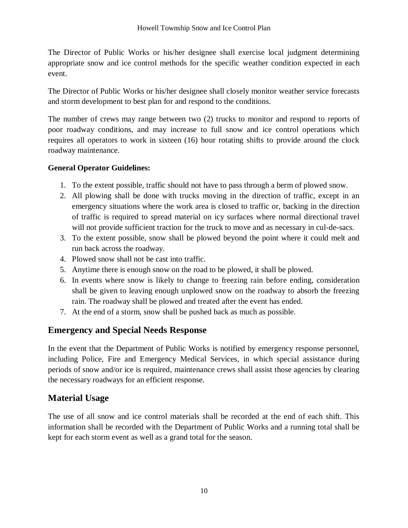The Director of Public Works or his/her designee shall exercise local judgment determining appropriate snow and ice control methods for the specific weather condition expected in each event.

The Director of Public Works or his/her designee shall closely monitor weather service forecasts and storm development to best plan for and respond to the conditions.

The number of crews may range between two (2) trucks to monitor and respond to reports of poor roadway conditions, and may increase to full snow and ice control operations which requires all operators to work in sixteen (16) hour rotating shifts to provide around the clock roadway maintenance.

#### **General Operator Guidelines:**

- 1. To the extent possible, traffic should not have to pass through a berm of plowed snow.
- 2. All plowing shall be done with trucks moving in the direction of traffic, except in an emergency situations where the work area is closed to traffic or, backing in the direction of traffic is required to spread material on icy surfaces where normal directional travel will not provide sufficient traction for the truck to move and as necessary in cul-de-sacs.
- 3. To the extent possible, snow shall be plowed beyond the point where it could melt and run back across the roadway.
- 4. Plowed snow shall not be cast into traffic.
- 5. Anytime there is enough snow on the road to be plowed, it shall be plowed.
- 6. In events where snow is likely to change to freezing rain before ending, consideration shall be given to leaving enough unplowed snow on the roadway to absorb the freezing rain. The roadway shall be plowed and treated after the event has ended.
- 7. At the end of a storm, snow shall be pushed back as much as possible.

#### **Emergency and Special Needs Response**

In the event that the Department of Public Works is notified by emergency response personnel, including Police, Fire and Emergency Medical Services, in which special assistance during periods of snow and/or ice is required, maintenance crews shall assist those agencies by clearing the necessary roadways for an efficient response.

#### **Material Usage**

The use of all snow and ice control materials shall be recorded at the end of each shift. This information shall be recorded with the Department of Public Works and a running total shall be kept for each storm event as well as a grand total for the season.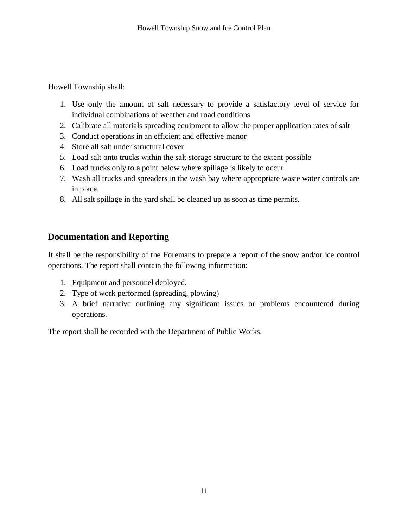Howell Township shall:

- 1. Use only the amount of salt necessary to provide a satisfactory level of service for individual combinations of weather and road conditions
- 2. Calibrate all materials spreading equipment to allow the proper application rates of salt
- 3. Conduct operations in an efficient and effective manor
- 4. Store all salt under structural cover
- 5. Load salt onto trucks within the salt storage structure to the extent possible
- 6. Load trucks only to a point below where spillage is likely to occur
- 7. Wash all trucks and spreaders in the wash bay where appropriate waste water controls are in place.
- 8. All salt spillage in the yard shall be cleaned up as soon as time permits.

# **Documentation and Reporting**

It shall be the responsibility of the Foremans to prepare a report of the snow and/or ice control operations. The report shall contain the following information:

- 1. Equipment and personnel deployed.
- 2. Type of work performed (spreading, plowing)
- 3. A brief narrative outlining any significant issues or problems encountered during operations.

The report shall be recorded with the Department of Public Works.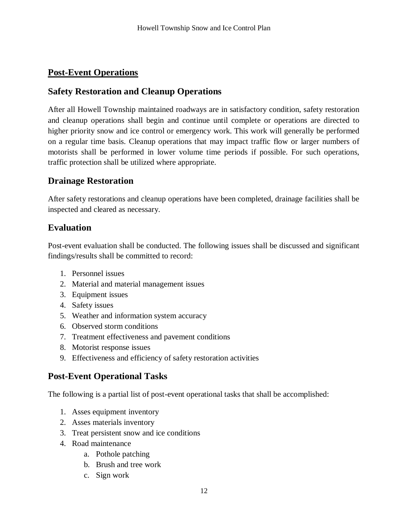#### **Post-Event Operations**

#### **Safety Restoration and Cleanup Operations**

After all Howell Township maintained roadways are in satisfactory condition, safety restoration and cleanup operations shall begin and continue until complete or operations are directed to higher priority snow and ice control or emergency work. This work will generally be performed on a regular time basis. Cleanup operations that may impact traffic flow or larger numbers of motorists shall be performed in lower volume time periods if possible. For such operations, traffic protection shall be utilized where appropriate.

#### **Drainage Restoration**

After safety restorations and cleanup operations have been completed, drainage facilities shall be inspected and cleared as necessary.

#### **Evaluation**

Post-event evaluation shall be conducted. The following issues shall be discussed and significant findings/results shall be committed to record:

- 1. Personnel issues
- 2. Material and material management issues
- 3. Equipment issues
- 4. Safety issues
- 5. Weather and information system accuracy
- 6. Observed storm conditions
- 7. Treatment effectiveness and pavement conditions
- 8. Motorist response issues
- 9. Effectiveness and efficiency of safety restoration activities

#### **Post-Event Operational Tasks**

The following is a partial list of post-event operational tasks that shall be accomplished:

- 1. Asses equipment inventory
- 2. Asses materials inventory
- 3. Treat persistent snow and ice conditions
- 4. Road maintenance
	- a. Pothole patching
	- b. Brush and tree work
	- c. Sign work